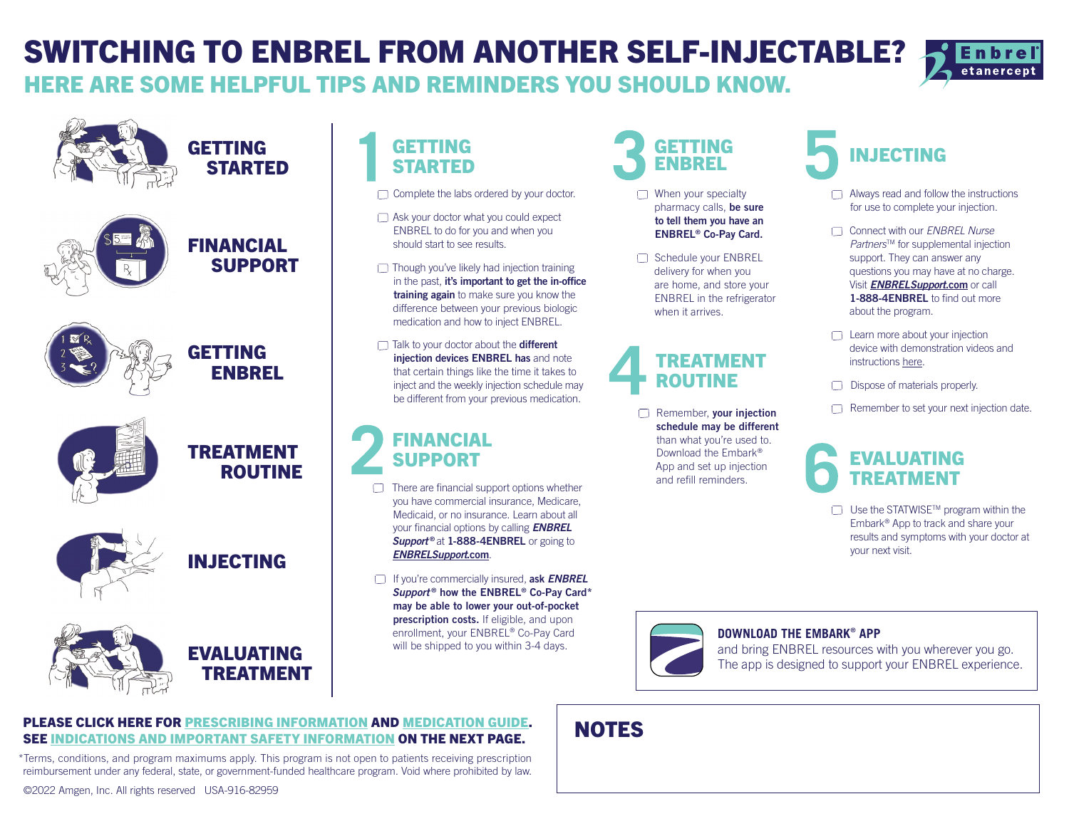# SWITCHING TO ENBREL FROM ANOTHER SELF-INJECTABLE?

HERE ARE SOME HELPFUL TIPS AND REMINDERS YOU SHOULD KNOW.





# GETTING STARTED

 $\Box$  Complete the labs ordered by your doctor.

- Ask your doctor what you could expect ENBREL to do for you and when you should start to see results.
- $\Box$  Though you've likely had injection training in the past, it's important to get the in-office training again to make sure you know the difference between your previous biologic medication and how to inject ENBREL.
- $\Box$  Talk to your doctor about the **different** injection devices ENBREL has and note that certain things like the time it takes to inject and the weekly injection schedule may be different from your previous medication.

# FINANCIAL **SUPPORT**

- $\Box$  There are financial support options whether you have commercial insurance, Medicare, Medicaid, or no insurance. Learn about all your financial options by calling *ENBREL* **Support<sup>®</sup> at 1-888-4ENBREL** or going to *[ENBRELSupport](https://www.enbrel.com/support)*.com.
- If you're commercially insured, ask *ENBREL Support* ® how the ENBREL® Co-Pay Card\* may be able to lower your out-of-pocket prescription costs. If eligible, and upon enrollment, your ENBREL® Co-Pay Card will be shipped to you within 3-4 days.

## GETTING ENBREL

- $\Box$  When your specialty pharmacy calls, be sure to tell them you have an ENBREL® Co-Pay Card.
- Schedule your ENBREL delivery for when you are home, and store your ENBREL in the refrigerator when it arrives.

# TREATMENT ROUTINE

Remember, your injection schedule may be different than what you're used to. Download the Embark® App and set up injection and refill reminders.

# IN IFCTING

- $\Box$  Always read and follow the instructions for use to complete your injection.
- Connect with our *ENBREL Nurse Partners*<sup>™</sup> for supplemental injection support. They can answer any questions you may have at no charge. Visit *[ENBRELSupport](https://www.enbrel.com/support)*.com or call 1-888-4ENBREL to find out more about the program.
- $\Box$  Learn more about your injection device with demonstration videos and instruction[s here.](https://www.enbrel.com/how-to-take-enbrel)
- Dispose of materials properly.
- Remember to set your next injection date.

# EVAL HATING TREATMENT

 $\Box$  Use the STATWISE<sup>TM</sup> program within the Embark® App to track and share your results and symptoms with your doctor at your next visit.



## **DOWNLOAD THE EMBARK**®  **APP**

and bring ENBREL resources with you wherever you go. The app is designed to support your ENBREL experience.

# **NOTES**

## PLEASE CLICK HERE FOR [PRESCRIBING INFORMATION](https://www.pi.amgen.com/united_states/enbrel/derm/enbrel_pi.pdf) AND [MEDICATION GUIDE.](https://www.pi.amgen.com/united_states/enbrel/derm/enbrel_mg.pdf) SE[E INDICATIONS AND IMPORTANT SAFETY INFORMATION](#page-1-0) ON THE NEXT PAGE.

\*Terms, conditions, and program maximums apply. This program is not open to patients receiving prescription reimbursement under any federal, state, or government-funded healthcare program. Void where prohibited by law.